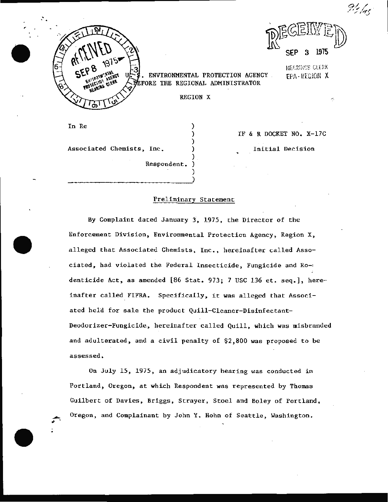' .

 $\mathbb{Z}$   $\cong$   $\mathbb{Z}$   $\cong$   $\mathbb{Z}$ 1975

• ENVIRONMENTAL PROTECTION AGENCY . FORE THE REGIONAL ADMINISTRATOR

IEf.~li" !GS CLERK EH\ · HEGiON X

IF & R DOCKET NO. X-17C

Initial Decision

-.

*0/./* /';:,,;

REGION X

) )

) .

Respondent. )

In Re

.

Associated Chemists, Inc. )

 $\begin{pmatrix} 1 & 1 & 1 \\ 1 & 1 & 1 \\ 1 & 1 & 1 \end{pmatrix}$ 

Preliminary Statement

By Complaint dated January 3, 1975, the Director of the Enforcement Division, Environmental Protection Agency, Region X, alleged that Associated Chemists, Inc., hereinafter called Associated, had violated the Federal Insecticide, Fungicide and Ro-: denticide Act, as amended [86 Stat. 973; 7 USC 136 et. seq.], hereinafter called FIFRA. Specifically, it was alleged that Associated held for sale the product Quill-Cleaner-Disinfectant-Deodorizer-Fungicide, hereinafter called Quill, which was misbranded and adulterated, and a civil penalty of \$2,800 was proposed to be assessed.

On July 15, 1975, an adjudicatory hearing was conducted in Portland, Oregon, at which Respondent was represented by Thomas Guilbert of Davies, Briggs, Strayer, Stoel and Boley of Portland, Oregon, and Complainant by John Y. Hohn of Seattle, Washington.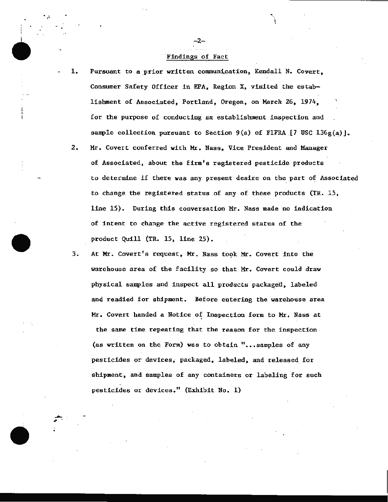### ·Findings '6f Fact

 $-2-$ 

.<br>. . . ..

- 1. Pursuant to a prior written communication, Kendall N. Covert, Consumer Safety Officer in EPA, Region X, visited the establishment of Associated, Portland, Oregon, on March. 26, 1974, for the purpose of conducting an establishment inspection and sample collection pursuant to Section 9(a) of FIFRA  $[7 \text{ USC } 136g(a)]$ .
	- 2. Mr. Covert conferred with Mr. Nass, Vice President and Manager of Associated, about the firm's registered pesticide products to determine if there was any present desire on the part of Associated to change the registered status of any of these products (TR. 15, line 15). During this conversation Mr. Nass made no indication. of intent to change the active registered status of the product Quill (TR. 15, line 25).
	- 3. At Mr. Covert's request, Mr. Nass took Mr. Covert into the warehouse area of the facility so that Mr. Covert could draw physical samples and inspect all products packaged, labeled and readied for shipment. Before entering the warehouse area Mr. Covert handed a Notice of Inspection form to Mr. Nass at the same time repeating that the reason for the inspection (as written on the Form) was to obtain  $"...$  samples of any pesticides or devices, packaged, labeled, and released for shipment, and samples of any containers or labeling for such pesticides or devices." (Exhibit No. 1)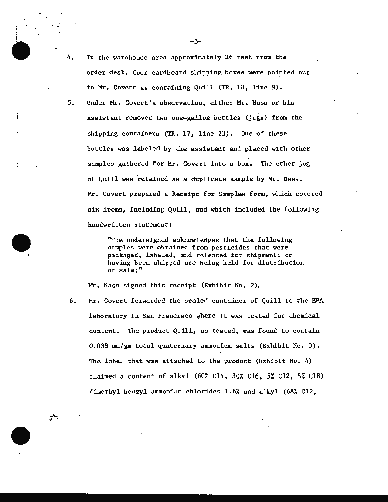<sup>5</sup> . Under Mr. Covert 's observation, either Mr. Nass or his assistant removed two one-gallon bottles (jugs) from the shipping containers (TR. 17, line 23). One of these bottles was. labeled by the assistant and placed with other samples gathered for Mr. Covert into a box. The other jug of Quill was retained as a duplicate sample by Mr. Nass. Mr. Covert prepared a Receipt for Samples form, which covered six items, including Quill, and which included the following handwritten statement:

> "The undersigned acknowledges that the following samples were obtained from pesticides that were packaged, labeled, and· released for shipment; or having been shipped are being held for distribution or sale; "

Mr. Nass signed this receipt (Exhibit No. 2).

6. Mr. Covert forwarded the sealed container of Quill to the EPA laboratory in San Francisco where it was tested for chemical  $content.$  The product  $Quill,$  as tested, was found to contain  $0.038$  mm/gm total quaternary ammonium salts (Exhibit No. 3). The label that was attached to the product (Exhibit No. 4) claimed a content of alkyl (60% Cl4, 30% Cl6, 5% Cl2, 5% Cl8) dimethyl benzyl ammonium chlorides 1.6% and alkyl (68% Cl2,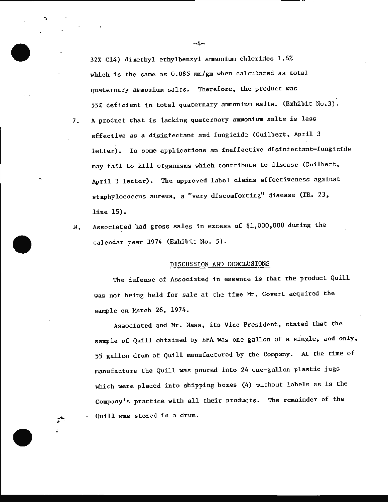32% Cl4) dimethyl ethylbenzyl ammonium chlorides 1.6% which is the same as 0.085 mm/gm when calculated as total quaternary ammonium salts. Therefore, the product was 55% deficient in total quaternary ammonium salts. (Exhibit No.3).

- 7. A product that is lacking quaternary ammonium salts is less effective as a disinfectant and fungicide (Guilbert, April 3 letter). In some applications an ineffective disinfectant-fungicide may fail to kill organisms which contribute to disease (Guilbert, April 3 letter). The approved label claims effectiveness against staphylococcus aureus, a "very discomforting" disease (TR. 23, line 15).
- 8. Associated had gross sales in excess of \$1,000,000 during the calendar year 1974 (Exhibit No. 5).

#### DISCUSSION AND CONCLUSIONS

The defense of Associated in essence is that the product Quill was not being held for sale at the time Mr. Covert acquired the sample on March 26, 1974.

Associated and Mr. Nass, its Vice President, stated that the sample of Quill obtained by EPA was one gallon of a single, and only, 55 gallon drum of Quill manufactured by the Company. At the time of manufacture the Quill was poured into 24 one-gallon plastic jugs which were placed into shipping boxes (4) without labels as is the Company's practice with all their products. The remainder of the Quill was stored in a drum.

 $-4-$ 

--------------------------- -------------"···· ·~·

·.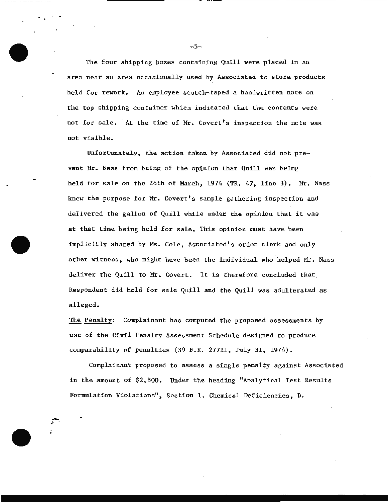The four shipping boxes containing Quill were placed in an area near an area occasionally used by Associated to store products held for rework. An employee scotch-taped a handwritten note on the top shipping container which indicated that the contents were not for sale. At the time of Mr. Covert's inspection the note was not visible.

Unfortunately, the action taken by Associated did not prevent Mr. Nass from being of the opinion that Quill was being held for sale on the 26th of March, 1974 (TR. 47, line 3). Mr. Nass knew the purpose for Mr. Covert's sample gathering inspection and delivered the gallon of Quill while under the opinion that it was at that time being held for sale. This opinion must have been implicitly shared by Ms. Cole, Associated's order clerk and only other witness, who might have been the individual who helped Mr. Nass deliver the Quill to Mr. Covert. It is therefore concluded that Respondent did hold for sale Quill and the Quill was adulterated as alleged.

The Penalty: Complainant has computed the proposed assessments by use of the Civil Penalty Assessment Schedule designed to produce comparability of penalties (39 F.R. 27711, July 31, 1974).

Complainant proposed to assess a single penalty against Associated in the amount of \$2 , 800. Under the heading "Analytical Test Results Formulation Violations", Section 1. Chemical Deficiencies, D.

 $-5-$ 

.. ... ................ ·-·----------------------------- -----------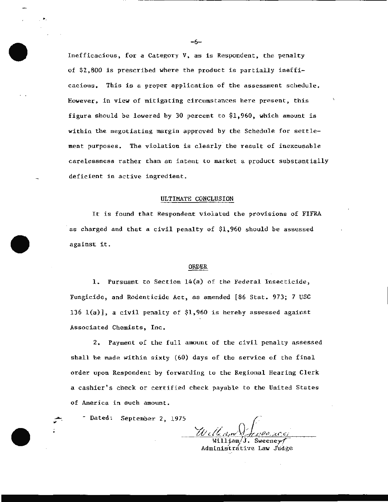Inefficacious, for a Category V, as is Respondent, the penalty of \$2,800 is prescribed where the product is partially inefficacious. This is a proper application of the assessment schedule. However, in view of mitigating circumstances here present, this figure should be lowered by 30 percent to \$1,960, which amount is within the negotiating margin approved by the Schedule for settlement purposes. The violation is clearly. the result of inexcusable carelessness rather than an intent to market a product substantially deficient in active ingredient.

### ULTIMATE CONCLUSION

It is found that Respondent violated the provisions of FIFRA as charged and that a civil penalty of \$1,960 should be assessed against it.

## ORDER

1. Pursuant to Section 14(a) of the Federal Insecticide, Fungicide, and Rodenticide Act, as amended [86 Stat. 973; 7 USC 136  $1(a)$ ], a civil penalty of \$1,960 is hereby assessed against Associated Chemists, Inc.

2. Payment of the full amount of the civil penalty assessed shall be made within sixty (60) days of the service of the final order upon Respondent by forwarding to the Regional Hearing Clerk a cashier's check or certified check payable to the United States of America in such amount.

- Dated: September 2, 1975

William $\check{\bf J}$ . Sweene ${\bf v}$ Administrative Law Judge

 $-6-$